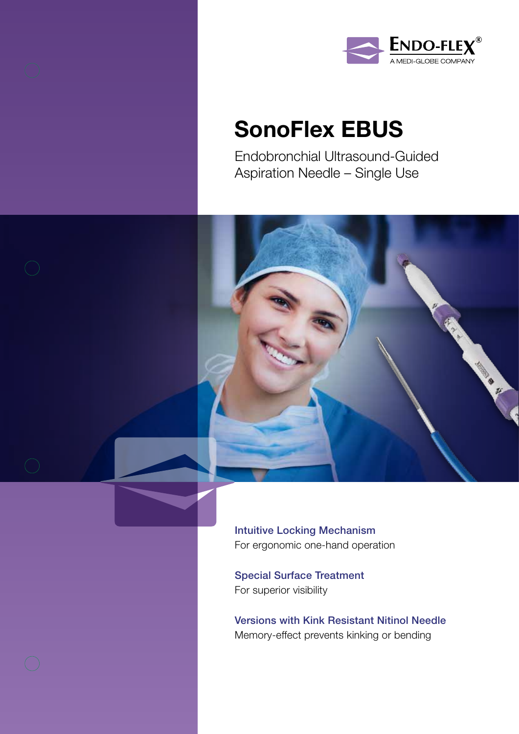



# SonoFlex EBUS

Endobronchial Ultrasound-Guided Aspiration Needle – Single Use



Intuitive Locking Mechanism For ergonomic one-hand operation

Special Surface Treatment For superior visibility

Versions with Kink Resistant Nitinol Needle Memory-effect prevents kinking or bending